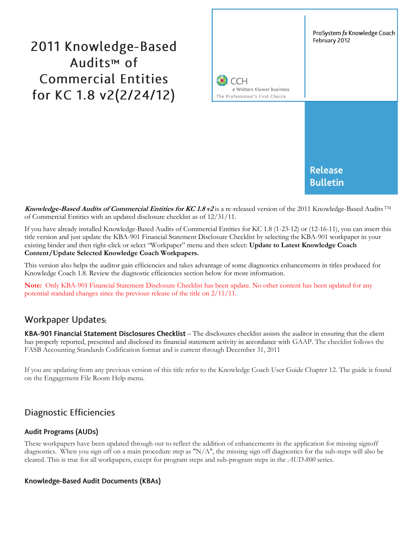# 2011 Knowledge-Based Audits<sup>™</sup> of **Commercial Entities** for KC 1.8 v2(2/24/12)



**Knowledge-Based Audits of Commercial Entities for KC 1.8 v2** is a re-released version of the 2011 Knowledge-Based Audits TM of Commercial Entities with an updated disclosure checklist as of 12/31/11.

If you have already installed Knowledge-Based Audits of Commercial Entities for KC 1.8 (1-23-12) or (12-16-11), you can insert this title version and just update the KBA-901 Financial Statement Disclosure Checklist by selecting the KBA-901 workpaper in your existing binder and then right-click or select "Workpaper" menu and then select: **Update to Latest Knowledge Coach Content/Update Selected Knowledge Coach Workpapers.**

This version also helps the auditor gain efficiencies and takes advantage of some diagnostics enhancements in titles produced for Knowledge Coach 1.8. Review the diagnostic efficiencies section below for more information.

**Note:** Only KBA-901 Financial Statement Disclosure Checklist has been update. No other content has been updated for any potential standard changes since the previous release of the title on 2/11/11.

## **Workpaper Updates:**

KBA-901 Financial Statement Disclosures Checklist - The disclosures checklist assists the auditor in ensuring that the client has properly reported, presented and disclosed its financial statement activity in accordance with GAAP. The checklist follows the FASB Accounting Standards Codification format and is current through December 31, 2011

If you are updating from any previous version of this title refer to the Knowledge Coach User Guide Chapter 12. The guide is found on the Engagement File Room Help menu.

## **Diagnostic Efficiencies**

#### **Audit Programs (AUDs)**

These workpapers have been updated through out to reflect the addition of enhancements in the application for missing signoff diagnostics. When you sign off on a main procedure step as "N/A", the missing sign off diagnostics for the sub-steps will also be cleared. This is true for all workpapers, except for program steps and sub-program steps in the *AUD-800* series.

#### Knowledge-Based Audit Documents (KBAs)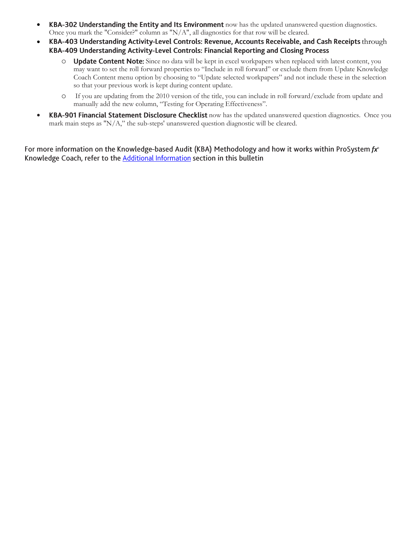- KBA-302 Understanding the Entity and Its Environment now has the updated unanswered question diagnostics. Once you mark the "Consider?" column as "N/A", all diagnostics for that row will be cleared.
- KBA-403 Understanding Activity-Level Controls: Revenue, Accounts Receivable, and Cash Receipts through KBA-409 Understanding Activity-Level Controls: Financial Reporting and Closing Process
	- $\circ$  Update Content Note: Since no data will be kept in excel workpapers when replaced with latest content, you may want to set the roll forward properties to "Include in roll forward" or exclude them from Update Knowledge Coach Content menu option by choosing to "Update selected workpapers" and not include these in the selection so that your previous work is kept during content update.
	- o If you are updating from the 2010 version of the title, you can include in roll forward/exclude from update and manually add the new column, "Testing for Operating Effectiveness".
- KBA-901 Financial Statement Disclosure Checklist now has the updated unanswered question diagnostics. Once you mark main steps as "N/A," the sub-steps' unanswered question diagnostic will be cleared.

For more information on the Knowledge-based Audit (KBA) Methodology and how it works within ProSystem  $fx^{\circ}$ Knowledge Coach, refer to the Additional Information section in this bulletin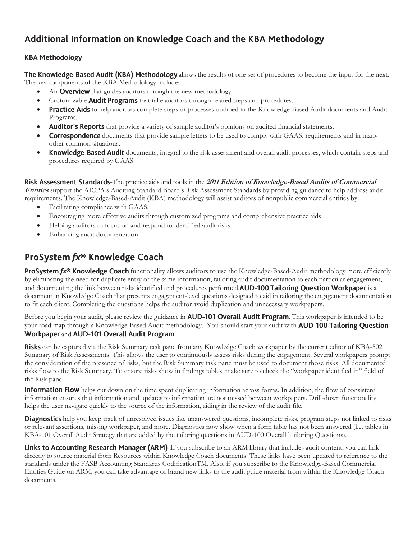# Additional Information on Knowledge Coach and the KBA Methodology

#### **KBA Methodology**

The Knowledge-Based Audit (KBA) Methodology allows the results of one set of procedures to become the input for the next. The key components of the KBA Methodology include:

- An **Overview** that guides auditors through the new methodology.
- Customizable Audit Programs that take auditors through related steps and procedures.
- Practice Aids to help auditors complete steps or processes outlined in the Knowledge-Based Audit documents and Audit Programs.
- Auditor's Reports that provide a variety of sample auditor's opinions on audited financial statements.
- **Correspondence** documents that provide sample letters to be used to comply with GAAS. requirements and in many other common situations.
- **Knowledge-Based Audit** documents, integral to the risk assessment and overall audit processes, which contain steps and procedures required by GAAS

Risk Assessment Standards-The practice aids and tools in the 2011 Edition of Knowledge-Based Audits of Commercial **Entities** support the AICPA's Auditing Standard Board's Risk Assessment Standards by providing guidance to help address audit requirements. The Knowledge-Based-Audit (KBA) methodology will assist auditors of nonpublic commercial entities by:

- Facilitating compliance with GAAS.
- Encouraging more effective audits through customized programs and comprehensive practice aids.
- Helping auditors to focus on and respond to identified audit risks.
- Enhancing audit documentation.

# ProSystem fx® Knowledge Coach

**ProSystem fx<sup>®</sup> Knowledge Coach** functionality allows auditors to use the Knowledge-Based-Audit methodology more efficiently by eliminating the need for duplicate entry of the same information, tailoring audit documentation to each particular engagement, and documenting the link between risks identified and procedures performed. AUD-100 Tailoring Question Workpaper is a document in Knowledge Coach that presents engagement-level questions designed to aid in tailoring the engagement documentation to fit each client. Completing the questions helps the auditor avoid duplication and unnecessary workpapers.

Before you begin your audit, please review the guidance in **AUD-101 Overall Audit Program**. This workpaper is intended to be your road map through a Knowledge-Based Audit methodology. You should start your audit with **AUD-100 Tailoring Question** Workpaper and AUD-101 Overall Audit Program.

**Risks** can be captured via the Risk Summary task pane from any Knowledge Coach workpaper by the current editor of KBA-502 Summary of Risk Assessments. This allows the user to continuously assess risks during the engagement. Several workpapers prompt the consideration of the presence of risks, but the Risk Summary task pane must be used to document those risks. All documented risks flow to the Risk Summary. To ensure risks show in findings tables, make sure to check the "workpaper identified in" field of the Risk pane.

**Information Flow** helps cut down on the time spent duplicating information across forms. In addition, the flow of consistent information ensures that information and updates to information are not missed between workpapers. Drill-down functionality helps the user navigate quickly to the source of the information, aiding in the review of the audit file.

Diagnostics help you keep track of unresolved issues like unanswered questions, incomplete risks, program steps not linked to risks or relevant assertions, missing workpaper, and more. Diagnostics now show when a form table has not been answered (i.e. tables in KBA-101 Overall Audit Strategy that are added by the tailoring questions in AUD-100 Overall Tailoring Questions).

Links to Accounting Research Manager (ARM)-If you subscribe to an ARM library that includes audit content, you can link directly to source material from Resources within Knowledge Coach documents. These links have been updated to reference to the standards under the FASB Accounting Standards CodificationTM. Also, if you subscribe to the Knowledge-Based Commercial Entities Guide on ARM, you can take advantage of brand new links to the audit guide material from within the Knowledge Coach documents.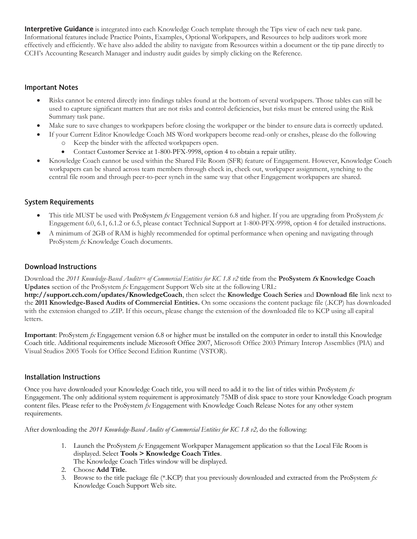**Interpretive Guidance** is integrated into each Knowledge Coach template through the Tips view of each new task pane. Informational features include Practice Points, Examples, Optional Workpapers, and Resources to help auditors work more effectively and efficiently. We have also added the ability to navigate from Resources within a document or the tip pane directly to CCH's Accounting Research Manager and industry audit guides by simply clicking on the Reference.

#### **Important Notes**

- Risks cannot be entered directly into findings tables found at the bottom of several workpapers. Those tables can still be used to capture significant matters that are not risks and control deficiencies, but risks must be entered using the Risk Summary task pane.
- Make sure to save changes to workpapers before closing the workpaper or the binder to ensure data is correctly updated.
- If your Current Editor Knowledge Coach MS Word workpapers become read-only or crashes, please do the following o Keep the binder with the affected workpapers open.
	- Contact Customer Service at 1-800-PFX-9998, option 4 to obtain a repair utility.
- Knowledge Coach cannot be used within the Shared File Room (SFR) feature of Engagement. However, Knowledge Coach workpapers can be shared across team members through check in, check out, workpaper assignment, synching to the central file room and through peer-to-peer synch in the same way that other Engagement workpapers are shared.

#### **System Requirements**

- This title MUST be used with ProSystem *fx* Engagement version 6.8 and higher. If you are upgrading from ProSystem *fx*  Engagement 6.0, 6.1, 6.1.2 or 6.5, please contact Technical Support at 1-800-PFX-9998, option 4 for detailed instructions.
- A minimum of 2GB of RAM is highly recommended for optimal performance when opening and navigating through ProSystem *fx* Knowledge Coach documents.

#### **Download Instructions**

Download the 2011 *Knowledge-Based Audits*<sup>TM</sup> of *Commercial Entities* for *KC* 1.8 *v2* title from the **ProSystem** *fx* **Knowledge Coach Updates** section of the ProSystem *fx* Engagement Support Web site at the following URL:

**http://support.cch.com/updates/KnowledgeCoach**, then select the **Knowledge Coach Series** and **Download file** link next to the **2011 Knowledge-Based Audits of Commercial Entities.** On some occasions the content package file (.KCP) has downloaded with the extension changed to .ZIP. If this occurs, please change the extension of the downloaded file to KCP using all capital letters.

**Important**: ProSystem *fx* Engagement version 6.8 or higher must be installed on the computer in order to install this Knowledge Coach title. Additional requirements include Microsoft Office 2007, Microsoft Office 2003 Primary Interop Assemblies (PIA) and Visual Studios 2005 Tools for Office Second Edition Runtime (VSTOR).

#### Installation Instructions

Once you have downloaded your Knowledge Coach title, you will need to add it to the list of titles within ProSystem *fx* Engagement. The only additional system requirement is approximately 75MB of disk space to store your Knowledge Coach program content files. Please refer to the ProSystem *fx* Engagement with Knowledge Coach Release Notes for any other system requirements.

After downloading the *2011 Knowledge-Based Audits of Commercial Entities for KC 1.8 v2,* do the following:

- 1. Launch the ProSystem *fx* Engagement Workpaper Management application so that the Local File Room is displayed. Select **Tools > Knowledge Coach Titles**.
	- The Knowledge Coach Titles window will be displayed.
- 2. Choose **Add Title**.
- 3. Browse to the title package file (\*.KCP) that you previously downloaded and extracted from the ProSystem *fx* Knowledge Coach Support Web site.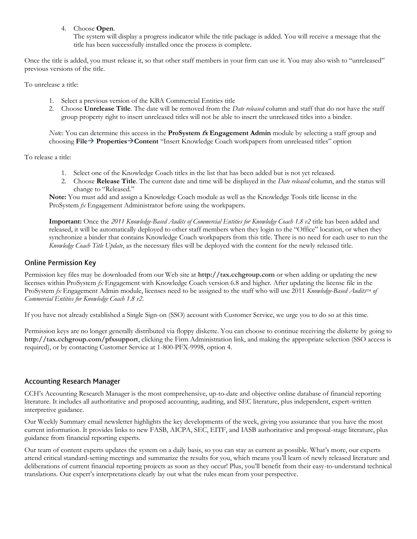4. Choose **Open**.

The system will display a progress indicator while the title package is added. You will receive a message that the title has been successfully installed once the process is complete.

Once the title is added, you must release it, so that other staff members in your firm can use it. You may also wish to "unreleased" previous versions of the title.

To unrelease a title:

- 1. Select a previous version of the KBA Commercial Entities title
- 2. Choose **Unrelease Title**. The date will be removed from the *Date released* column and staff that do not have the staff group property right to insert unreleased titles will not be able to insert the unreleased titles into a binder.

*Not*e: You can determine this access in the **ProSystem fx Engagement Admin** module by selecting a staff group and choosing **File PropertiesContent** "Insert Knowledge Coach workpapers from unreleased titles" option

To release a title:

- 1. Select one of the Knowledge Coach titles in the list that has been added but is not yet released.
- 2. Choose **Release Title**. The current date and time will be displayed in the *Date released* column, and the status will change to "Released."

**Note:** You must add and assign a Knowledge Coach module as well as the Knowledge Tools title license in the ProSystem *fx* Engagement Administrator before using the workpapers.

**Important:** Once the *2011 Knowledge-Based Audits of Commercial Entities for Knowledge Coach 1.8 v2* title has been added and released, it will be automatically deployed to other staff members when they login to the "Office" location, or when they synchronize a binder that contains Knowledge Coach workpapers from this title. There is no need for each user to run the *Knowledge Coach Title Update*, as the necessary files will be deployed with the content for the newly released title.

#### **Online Permission Key**

Permission key files may be downloaded from our Web site at **http://tax.cchgroup.com** or when adding or updating the new licenses within ProSystem *fx* Engagement with Knowledge Coach version 6.8 and higher. After updating the license file in the ProSystem *fx* Engagement Admin module, licenses need to be assigned to the staff who will use 2011 *Knowledge-Based Audits*<sup>TM</sup> of *Commercial Entities for Knowledge Coach 1.8 v2*.

If you have not already established a Single Sign-on (SSO) account with Customer Service, we urge you to do so at this time.

Permission keys are no longer generally distributed via floppy diskette. You can choose to continue receiving the diskette by going to **http://tax.cchgroup.com/pfxsupport**, clicking the Firm Administration link, and making the appropriate selection (SSO access is required), or by contacting Customer Service at 1-800-PFX-9998, option 4.

#### **Accounting Research Manager**

CCH's Accounting Research Manager is the most comprehensive, up-to-date and objective online database of financial reporting literature. It includes all authoritative and proposed accounting, auditing, and SEC literature, plus independent, expert-written interpretive guidance.

Our Weekly Summary email newsletter highlights the key developments of the week, giving you assurance that you have the most current information. It provides links to new FASB, AICPA, SEC, EITF, and IASB authoritative and proposal-stage literature, plus guidance from financial reporting experts.

Our team of content experts updates the system on a daily basis, so you can stay as current as possible. What's more, our experts attend critical standard-setting meetings and summarize the results for you, which means you'll learn of newly released literature and deliberations of current financial reporting projects as soon as they occur! Plus, you'll benefit from their easy-to-understand technical translations. Our expert's interpretations clearly lay out what the rules mean from your perspective.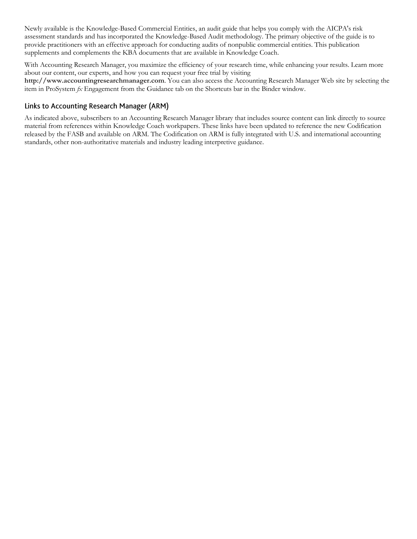Newly available is the Knowledge-Based Commercial Entities, an audit guide that helps you comply with the AICPA's risk assessment standards and has incorporated the Knowledge-Based Audit methodology. The primary objective of the guide is to provide practitioners with an effective approach for conducting audits of nonpublic commercial entities. This publication supplements and complements the KBA documents that are available in Knowledge Coach.

With Accounting Research Manager, you maximize the efficiency of your research time, while enhancing your results. Learn more about our content, our experts, and how you can request your free trial by visiting

**http://www.accountingresearchmanager.com**. You can also access the Accounting Research Manager Web site by selecting the item in ProSystem *fx* Engagement from the Guidance tab on the Shortcuts bar in the Binder window.

#### Links to Accounting Research Manager (ARM)

As indicated above, subscribers to an Accounting Research Manager library that includes source content can link directly to source material from references within Knowledge Coach workpapers. These links have been updated to reference the new Codification released by the FASB and available on ARM. The Codification on ARM is fully integrated with U.S. and international accounting standards, other non-authoritative materials and industry leading interpretive guidance.